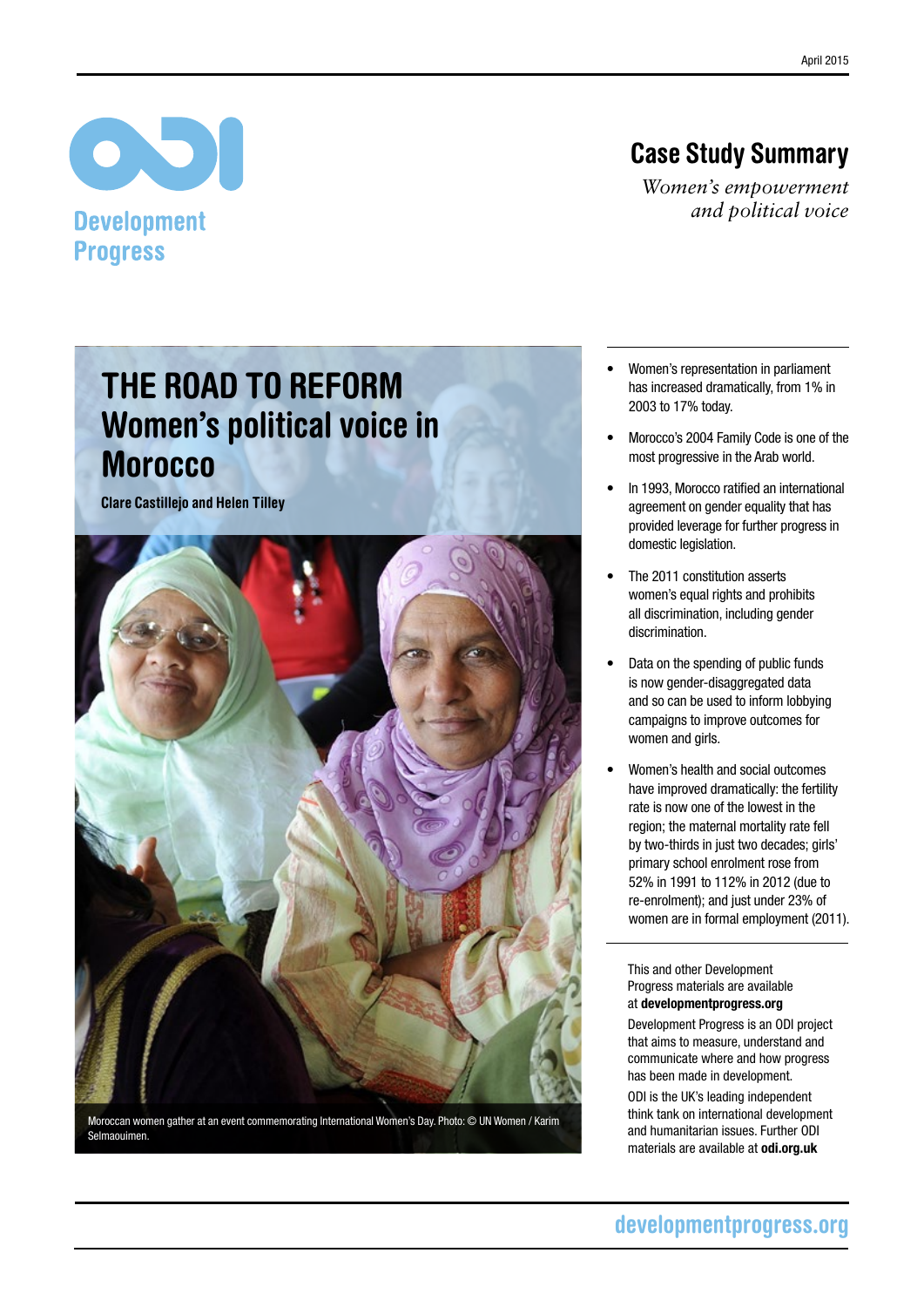# Case Study Summary

*Women's empowerment and political voice*

# The Road to reform Women's political voice in **Morocco**

Clare Castillejo and Helen Tilley

 $\bullet$ 

**Development** 

**Progress** 



Moroccan women gather at an event commemorating International Women's Day. Photo: © UN Women / Karim Selmaouimen.

- Women's representation in parliament has increased dramatically, from 1% in 2003 to 17% today.
- Morocco's 2004 Family Code is one of the most progressive in the Arab world.
- In 1993, Morocco ratified an international agreement on gender equality that has provided leverage for further progress in domestic legislation.
- The 2011 constitution asserts women's equal rights and prohibits all discrimination, including gender discrimination.
- Data on the spending of public funds is now gender-disaggregated data and so can be used to inform lobbying campaigns to improve outcomes for women and girls.
- Women's health and social outcomes have improved dramatically: the fertility rate is now one of the lowest in the region; the maternal mortality rate fell by two-thirds in just two decades; girls' primary school enrolment rose from 52% in 1991 to 112% in 2012 (due to re-enrolment); and just under 23% of women are in formal employment (2011).

This and other Development Progress materials are available at developmentprogress.org

Development Progress is an ODI project that aims to measure, understand and communicate where and how progress has been made in development.

ODI is the UK's leading independent think tank on international development and humanitarian issues. Further ODI materials are available at odi.org.uk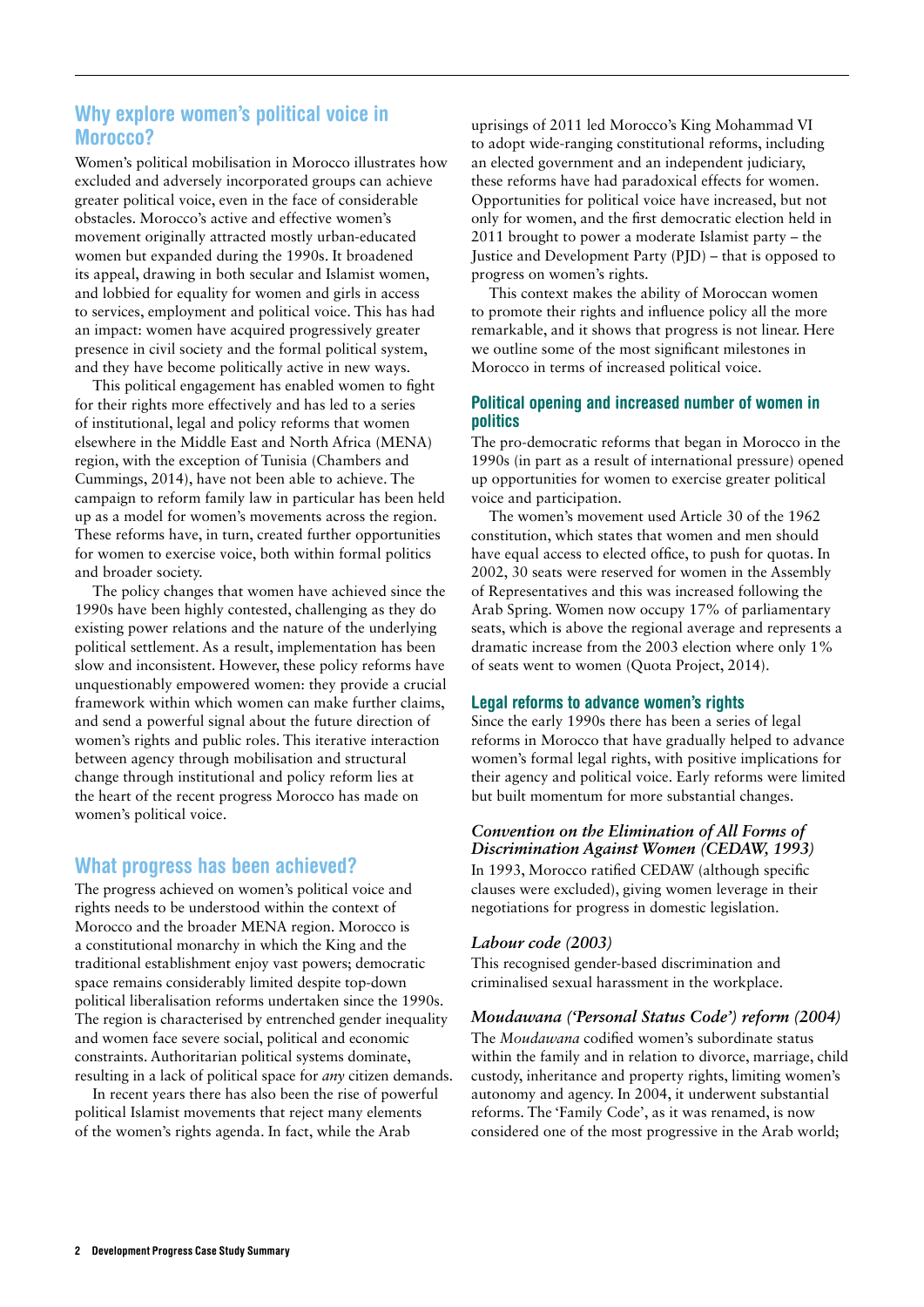# Why explore women's political voice in Morocco?

Women's political mobilisation in Morocco illustrates how excluded and adversely incorporated groups can achieve greater political voice, even in the face of considerable obstacles. Morocco's active and effective women's movement originally attracted mostly urban-educated women but expanded during the 1990s. It broadened its appeal, drawing in both secular and Islamist women, and lobbied for equality for women and girls in access to services, employment and political voice. This has had an impact: women have acquired progressively greater presence in civil society and the formal political system, and they have become politically active in new ways.

This political engagement has enabled women to fight for their rights more effectively and has led to a series of institutional, legal and policy reforms that women elsewhere in the Middle East and North Africa (MENA) region, with the exception of Tunisia (Chambers and Cummings, 2014), have not been able to achieve. The campaign to reform family law in particular has been held up as a model for women's movements across the region. These reforms have, in turn, created further opportunities for women to exercise voice, both within formal politics and broader society.

The policy changes that women have achieved since the 1990s have been highly contested, challenging as they do existing power relations and the nature of the underlying political settlement. As a result, implementation has been slow and inconsistent. However, these policy reforms have unquestionably empowered women: they provide a crucial framework within which women can make further claims, and send a powerful signal about the future direction of women's rights and public roles. This iterative interaction between agency through mobilisation and structural change through institutional and policy reform lies at the heart of the recent progress Morocco has made on women's political voice.

#### What progress has been achieved?

The progress achieved on women's political voice and rights needs to be understood within the context of Morocco and the broader MENA region. Morocco is a constitutional monarchy in which the King and the traditional establishment enjoy vast powers; democratic space remains considerably limited despite top-down political liberalisation reforms undertaken since the 1990s. The region is characterised by entrenched gender inequality and women face severe social, political and economic constraints. Authoritarian political systems dominate, resulting in a lack of political space for *any* citizen demands.

In recent years there has also been the rise of powerful political Islamist movements that reject many elements of the women's rights agenda. In fact, while the Arab

uprisings of 2011 led Morocco's King Mohammad VI to adopt wide-ranging constitutional reforms, including an elected government and an independent judiciary, these reforms have had paradoxical effects for women. Opportunities for political voice have increased, but not only for women, and the first democratic election held in 2011 brought to power a moderate Islamist party – the Justice and Development Party (PJD) – that is opposed to progress on women's rights.

This context makes the ability of Moroccan women to promote their rights and influence policy all the more remarkable, and it shows that progress is not linear. Here we outline some of the most significant milestones in Morocco in terms of increased political voice.

#### Political opening and increased number of women in politics

The pro-democratic reforms that began in Morocco in the 1990s (in part as a result of international pressure) opened up opportunities for women to exercise greater political voice and participation.

The women's movement used Article 30 of the 1962 constitution, which states that women and men should have equal access to elected office, to push for quotas. In 2002, 30 seats were reserved for women in the Assembly of Representatives and this was increased following the Arab Spring. Women now occupy 17% of parliamentary seats, which is above the regional average and represents a dramatic increase from the 2003 election where only 1% of seats went to women (Quota Project, 2014).

#### Legal reforms to advance women's rights

Since the early 1990s there has been a series of legal reforms in Morocco that have gradually helped to advance women's formal legal rights, with positive implications for their agency and political voice. Early reforms were limited but built momentum for more substantial changes.

### *Convention on the Elimination of All Forms of Discrimination Against Women (CEDAW, 1993)*

In 1993, Morocco ratified CEDAW (although specific clauses were excluded), giving women leverage in their negotiations for progress in domestic legislation.

#### *Labour code (2003)*

This recognised gender-based discrimination and criminalised sexual harassment in the workplace.

#### *Moudawana ('Personal Status Code') reform (2004)*

The *Moudawana* codified women's subordinate status within the family and in relation to divorce, marriage, child custody, inheritance and property rights, limiting women's autonomy and agency. In 2004, it underwent substantial reforms. The 'Family Code', as it was renamed, is now considered one of the most progressive in the Arab world;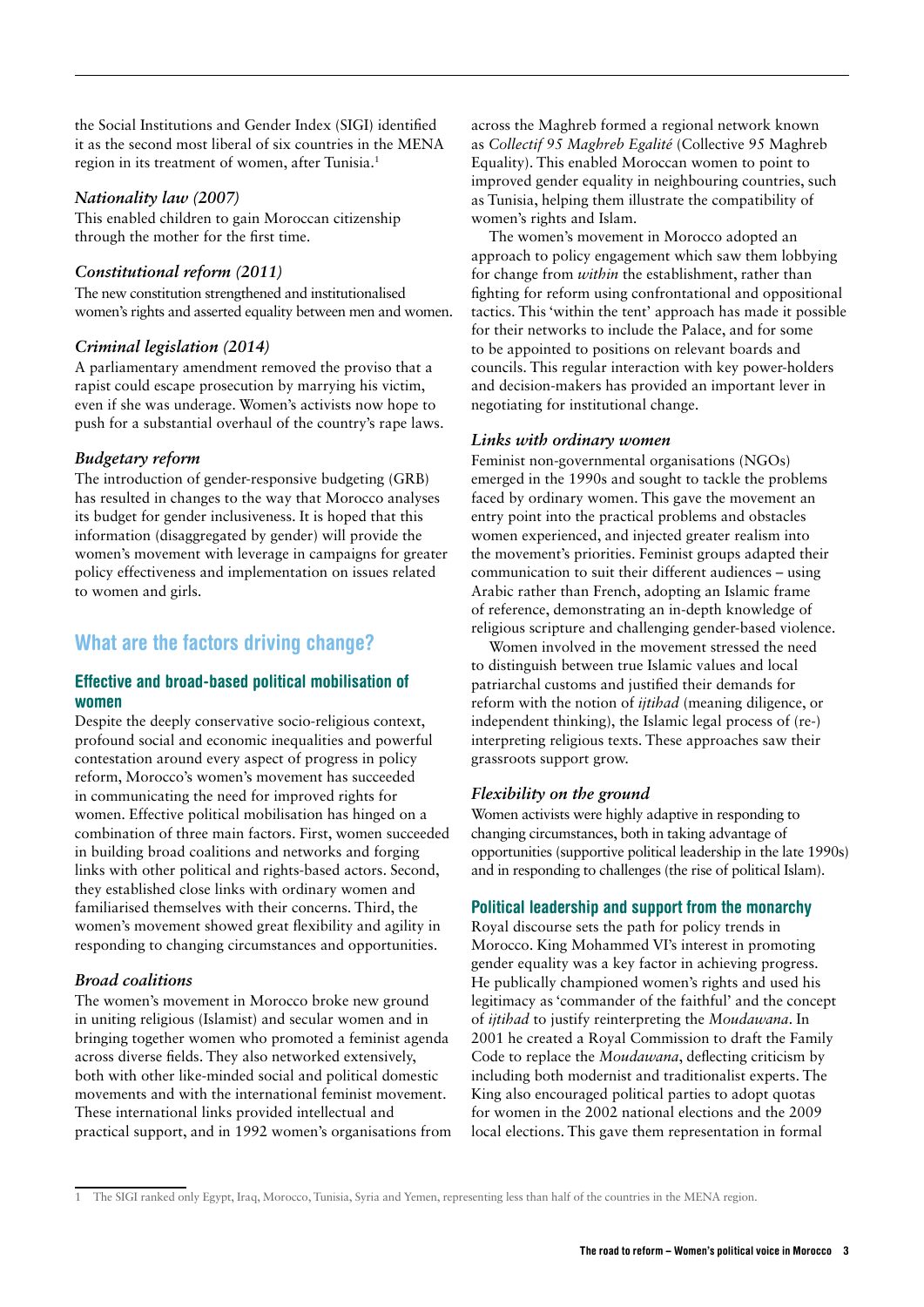the Social Institutions and Gender Index (SIGI) identified it as the second most liberal of six countries in the MENA region in its treatment of women, after Tunisia.1

#### *Nationality law (2007)*

This enabled children to gain Moroccan citizenship through the mother for the first time.

#### *Constitutional reform (2011)*

The new constitution strengthened and institutionalised women's rights and asserted equality between men and women.

#### *Criminal legislation (2014)*

A parliamentary amendment removed the proviso that a rapist could escape prosecution by marrying his victim, even if she was underage. Women's activists now hope to push for a substantial overhaul of the country's rape laws.

#### *Budgetary reform*

The introduction of gender-responsive budgeting (GRB) has resulted in changes to the way that Morocco analyses its budget for gender inclusiveness. It is hoped that this information (disaggregated by gender) will provide the women's movement with leverage in campaigns for greater policy effectiveness and implementation on issues related to women and girls.

# What are the factors driving change?

#### Effective and broad-based political mobilisation of women

Despite the deeply conservative socio-religious context, profound social and economic inequalities and powerful contestation around every aspect of progress in policy reform, Morocco's women's movement has succeeded in communicating the need for improved rights for women. Effective political mobilisation has hinged on a combination of three main factors. First, women succeeded in building broad coalitions and networks and forging links with other political and rights-based actors. Second, they established close links with ordinary women and familiarised themselves with their concerns. Third, the women's movement showed great flexibility and agility in responding to changing circumstances and opportunities.

#### *Broad coalitions*

The women's movement in Morocco broke new ground in uniting religious (Islamist) and secular women and in bringing together women who promoted a feminist agenda across diverse fields. They also networked extensively, both with other like-minded social and political domestic movements and with the international feminist movement. These international links provided intellectual and practical support, and in 1992 women's organisations from across the Maghreb formed a regional network known as *Collectif 95 Maghreb Egalité* (Collective 95 Maghreb Equality). This enabled Moroccan women to point to improved gender equality in neighbouring countries, such as Tunisia, helping them illustrate the compatibility of women's rights and Islam.

The women's movement in Morocco adopted an approach to policy engagement which saw them lobbying for change from *within* the establishment, rather than fighting for reform using confrontational and oppositional tactics. This 'within the tent' approach has made it possible for their networks to include the Palace, and for some to be appointed to positions on relevant boards and councils. This regular interaction with key power-holders and decision-makers has provided an important lever in negotiating for institutional change.

#### *Links with ordinary women*

Feminist non-governmental organisations (NGOs) emerged in the 1990s and sought to tackle the problems faced by ordinary women. This gave the movement an entry point into the practical problems and obstacles women experienced, and injected greater realism into the movement's priorities. Feminist groups adapted their communication to suit their different audiences – using Arabic rather than French, adopting an Islamic frame of reference, demonstrating an in-depth knowledge of religious scripture and challenging gender-based violence.

Women involved in the movement stressed the need to distinguish between true Islamic values and local patriarchal customs and justified their demands for reform with the notion of *ijtihad* (meaning diligence, or independent thinking), the Islamic legal process of (re-) interpreting religious texts. These approaches saw their grassroots support grow.

#### *Flexibility on the ground*

Women activists were highly adaptive in responding to changing circumstances, both in taking advantage of opportunities (supportive political leadership in the late 1990s) and in responding to challenges (the rise of political Islam).

#### Political leadership and support from the monarchy

Royal discourse sets the path for policy trends in Morocco. King Mohammed VI's interest in promoting gender equality was a key factor in achieving progress. He publically championed women's rights and used his legitimacy as 'commander of the faithful' and the concept of *ijtihad* to justify reinterpreting the *Moudawana*. In 2001 he created a Royal Commission to draft the Family Code to replace the *Moudawana*, deflecting criticism by including both modernist and traditionalist experts. The King also encouraged political parties to adopt quotas for women in the 2002 national elections and the 2009 local elections. This gave them representation in formal

<sup>1</sup> The SIGI ranked only Egypt, Iraq, Morocco, Tunisia, Syria and Yemen, representing less than half of the countries in the MENA region.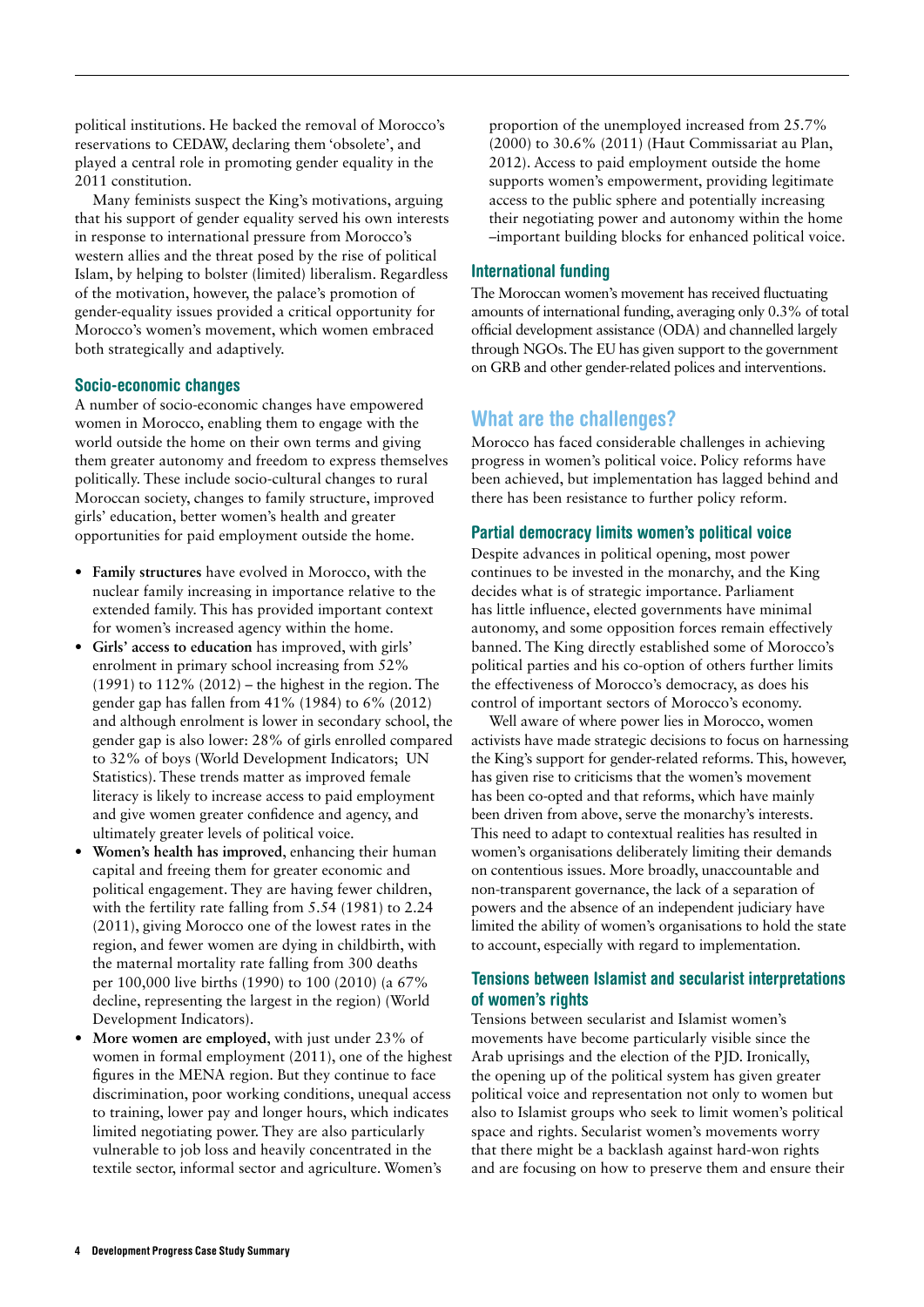political institutions. He backed the removal of Morocco's reservations to CEDAW, declaring them 'obsolete', and played a central role in promoting gender equality in the 2011 constitution.

Many feminists suspect the King's motivations, arguing that his support of gender equality served his own interests in response to international pressure from Morocco's western allies and the threat posed by the rise of political Islam, by helping to bolster (limited) liberalism. Regardless of the motivation, however, the palace's promotion of gender-equality issues provided a critical opportunity for Morocco's women's movement, which women embraced both strategically and adaptively.

#### Socio-economic changes

A number of socio-economic changes have empowered women in Morocco, enabling them to engage with the world outside the home on their own terms and giving them greater autonomy and freedom to express themselves politically. These include socio-cultural changes to rural Moroccan society, changes to family structure, improved girls' education, better women's health and greater opportunities for paid employment outside the home.

- **• Family structures** have evolved in Morocco, with the nuclear family increasing in importance relative to the extended family. This has provided important context for women's increased agency within the home.
- **• Girls' access to education** has improved, with girls' enrolment in primary school increasing from 52% (1991) to 112% (2012) – the highest in the region. The gender gap has fallen from 41% (1984) to 6% (2012) and although enrolment is lower in secondary school, the gender gap is also lower: 28% of girls enrolled compared to 32% of boys (World Development Indicators; UN Statistics). These trends matter as improved female literacy is likely to increase access to paid employment and give women greater confidence and agency, and ultimately greater levels of political voice.
- **• Women's health has improved**, enhancing their human capital and freeing them for greater economic and political engagement. They are having fewer children, with the fertility rate falling from 5.54 (1981) to 2.24 (2011), giving Morocco one of the lowest rates in the region, and fewer women are dying in childbirth, with the maternal mortality rate falling from 300 deaths per 100,000 live births (1990) to 100 (2010) (a 67% decline, representing the largest in the region) (World Development Indicators).
- **• More women are employed**, with just under 23% of women in formal employment (2011), one of the highest figures in the MENA region. But they continue to face discrimination, poor working conditions, unequal access to training, lower pay and longer hours, which indicates limited negotiating power. They are also particularly vulnerable to job loss and heavily concentrated in the textile sector, informal sector and agriculture. Women's

proportion of the unemployed increased from 25.7% (2000) to 30.6% (2011) (Haut Commissariat au Plan, 2012). Access to paid employment outside the home supports women's empowerment, providing legitimate access to the public sphere and potentially increasing their negotiating power and autonomy within the home –important building blocks for enhanced political voice.

#### International funding

The Moroccan women's movement has received fluctuating amounts of international funding, averaging only 0.3% of total official development assistance (ODA) and channelled largely through NGOs. The EU has given support to the government on GRB and other gender-related polices and interventions.

## What are the challenges?

Morocco has faced considerable challenges in achieving progress in women's political voice. Policy reforms have been achieved, but implementation has lagged behind and there has been resistance to further policy reform.

#### Partial democracy limits women's political voice

Despite advances in political opening, most power continues to be invested in the monarchy, and the King decides what is of strategic importance. Parliament has little influence, elected governments have minimal autonomy, and some opposition forces remain effectively banned. The King directly established some of Morocco's political parties and his co-option of others further limits the effectiveness of Morocco's democracy, as does his control of important sectors of Morocco's economy.

Well aware of where power lies in Morocco, women activists have made strategic decisions to focus on harnessing the King's support for gender-related reforms. This, however, has given rise to criticisms that the women's movement has been co-opted and that reforms, which have mainly been driven from above, serve the monarchy's interests. This need to adapt to contextual realities has resulted in women's organisations deliberately limiting their demands on contentious issues. More broadly, unaccountable and non-transparent governance, the lack of a separation of powers and the absence of an independent judiciary have limited the ability of women's organisations to hold the state to account, especially with regard to implementation.

#### Tensions between Islamist and secularist interpretations of women's rights

Tensions between secularist and Islamist women's movements have become particularly visible since the Arab uprisings and the election of the PJD. Ironically, the opening up of the political system has given greater political voice and representation not only to women but also to Islamist groups who seek to limit women's political space and rights. Secularist women's movements worry that there might be a backlash against hard-won rights and are focusing on how to preserve them and ensure their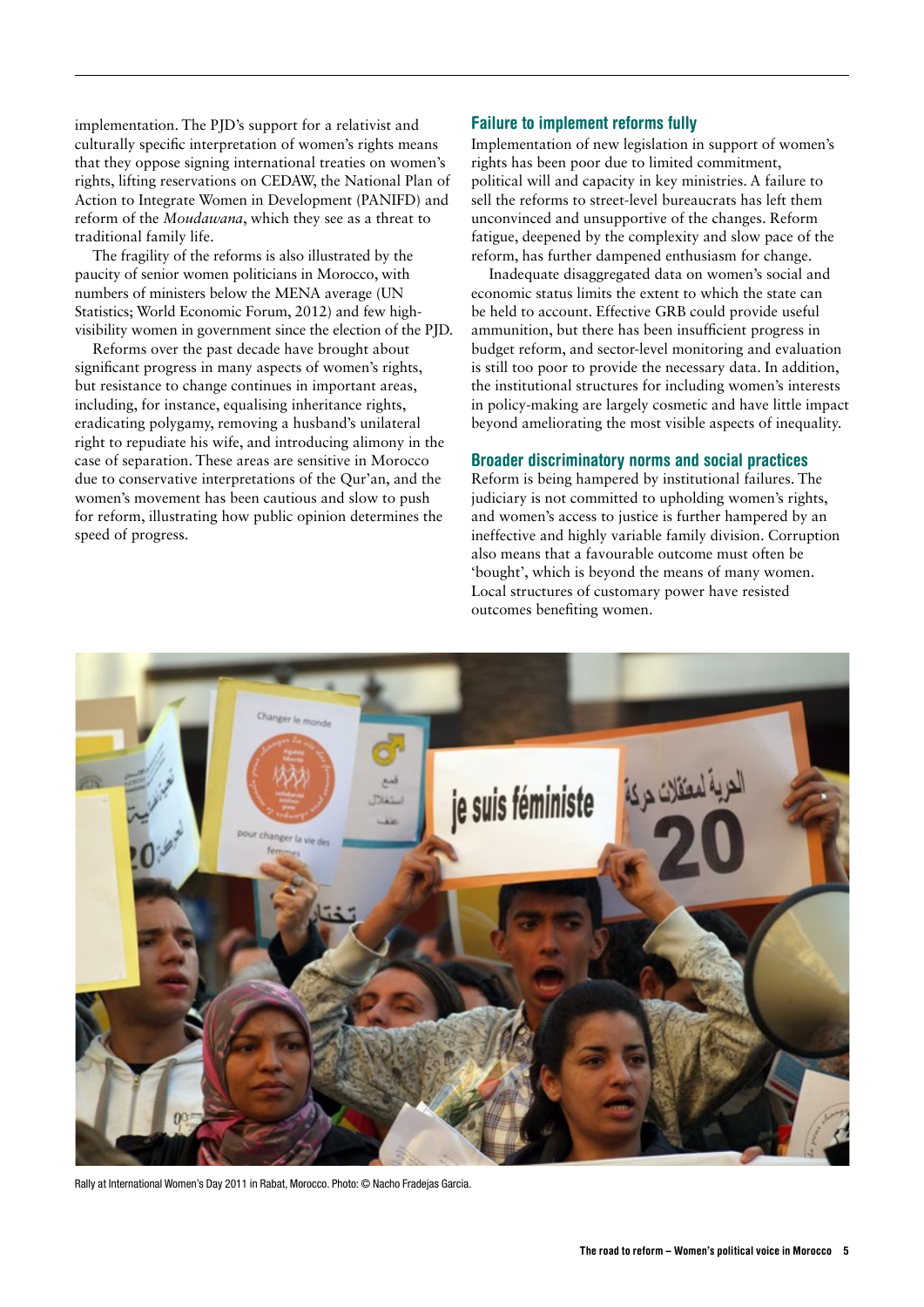implementation. The PJD's support for a relativist and culturally specific interpretation of women's rights means that they oppose signing international treaties on women's rights, lifting reservations on CEDAW, the National Plan of Action to Integrate Women in Development (PANIFD) and reform of the *Moudawana*, which they see as a threat to traditional family life.

The fragility of the reforms is also illustrated by the paucity of senior women politicians in Morocco, with numbers of ministers below the MENA average (UN Statistics; World Economic Forum, 2012) and few highvisibility women in government since the election of the PJD.

Reforms over the past decade have brought about significant progress in many aspects of women's rights, but resistance to change continues in important areas, including, for instance, equalising inheritance rights, eradicating polygamy, removing a husband's unilateral right to repudiate his wife, and introducing alimony in the case of separation. These areas are sensitive in Morocco due to conservative interpretations of the Qur'an, and the women's movement has been cautious and slow to push for reform, illustrating how public opinion determines the speed of progress.

#### Failure to implement reforms fully

Implementation of new legislation in support of women's rights has been poor due to limited commitment, political will and capacity in key ministries. A failure to sell the reforms to street-level bureaucrats has left them unconvinced and unsupportive of the changes. Reform fatigue, deepened by the complexity and slow pace of the reform, has further dampened enthusiasm for change.

Inadequate disaggregated data on women's social and economic status limits the extent to which the state can be held to account. Effective GRB could provide useful ammunition, but there has been insufficient progress in budget reform, and sector-level monitoring and evaluation is still too poor to provide the necessary data. In addition, the institutional structures for including women's interests in policy-making are largely cosmetic and have little impact beyond ameliorating the most visible aspects of inequality.

#### Broader discriminatory norms and social practices

Reform is being hampered by institutional failures. The judiciary is not committed to upholding women's rights, and women's access to justice is further hampered by an ineffective and highly variable family division. Corruption also means that a favourable outcome must often be 'bought', which is beyond the means of many women. Local structures of customary power have resisted outcomes benefiting women.



Rally at International Women's Day 2011 in Rabat, Morocco. Photo: © Nacho Fradejas Garcia.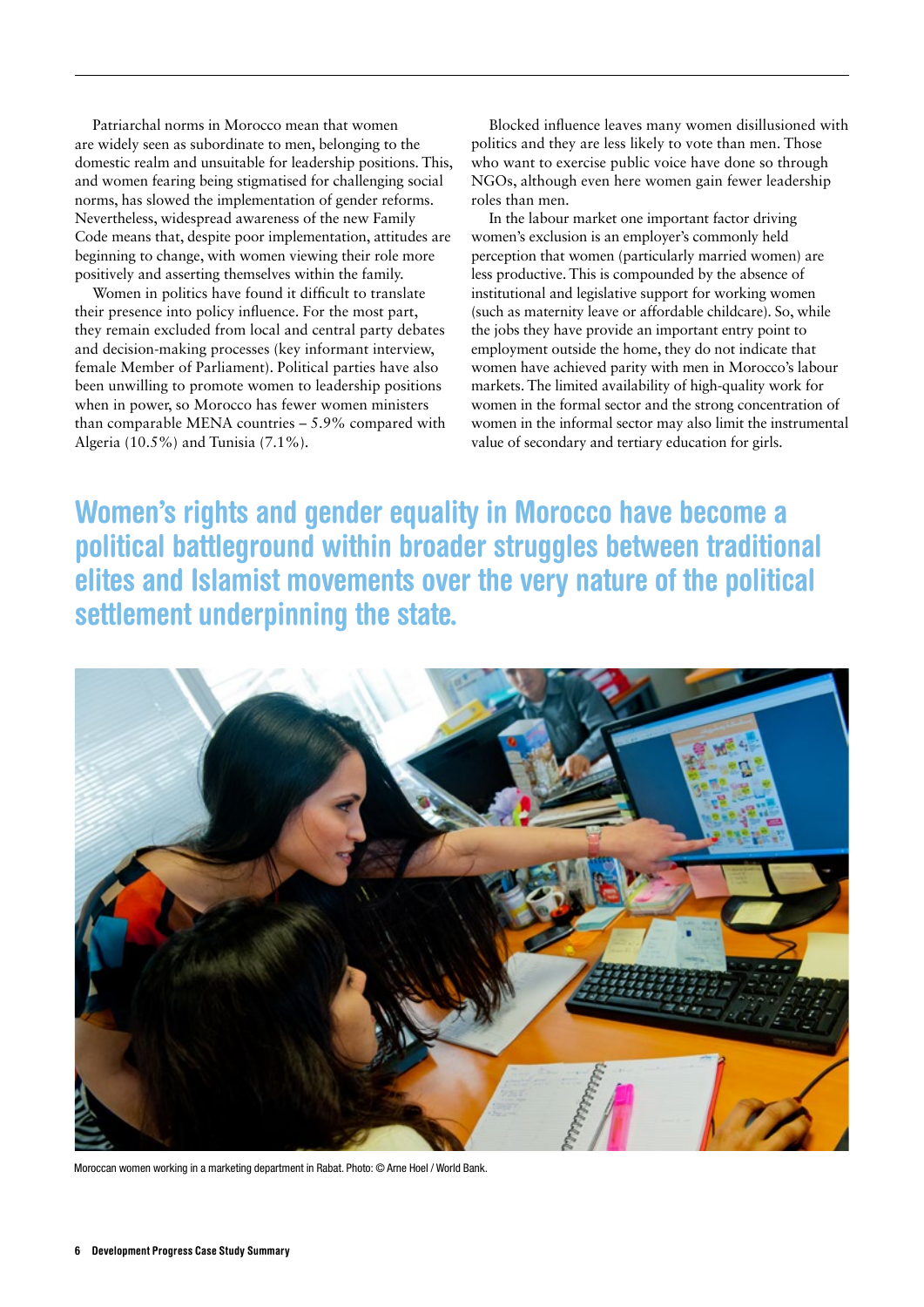Patriarchal norms in Morocco mean that women are widely seen as subordinate to men, belonging to the domestic realm and unsuitable for leadership positions. This, and women fearing being stigmatised for challenging social norms, has slowed the implementation of gender reforms. Nevertheless, widespread awareness of the new Family Code means that, despite poor implementation, attitudes are beginning to change, with women viewing their role more positively and asserting themselves within the family.

Women in politics have found it difficult to translate their presence into policy influence. For the most part, they remain excluded from local and central party debates and decision-making processes (key informant interview, female Member of Parliament). Political parties have also been unwilling to promote women to leadership positions when in power, so Morocco has fewer women ministers than comparable MENA countries – 5.9% compared with Algeria (10.5%) and Tunisia (7.1%).

Blocked influence leaves many women disillusioned with politics and they are less likely to vote than men. Those who want to exercise public voice have done so through NGOs, although even here women gain fewer leadership roles than men.

In the labour market one important factor driving women's exclusion is an employer's commonly held perception that women (particularly married women) are less productive. This is compounded by the absence of institutional and legislative support for working women (such as maternity leave or affordable childcare). So, while the jobs they have provide an important entry point to employment outside the home, they do not indicate that women have achieved parity with men in Morocco's labour markets. The limited availability of high-quality work for women in the formal sector and the strong concentration of women in the informal sector may also limit the instrumental value of secondary and tertiary education for girls.

Women's rights and gender equality in Morocco have become a political battleground within broader struggles between traditional elites and Islamist movements over the very nature of the political settlement underpinning the state.



Moroccan women working in a marketing department in Rabat. Photo: © Arne Hoel / World Bank.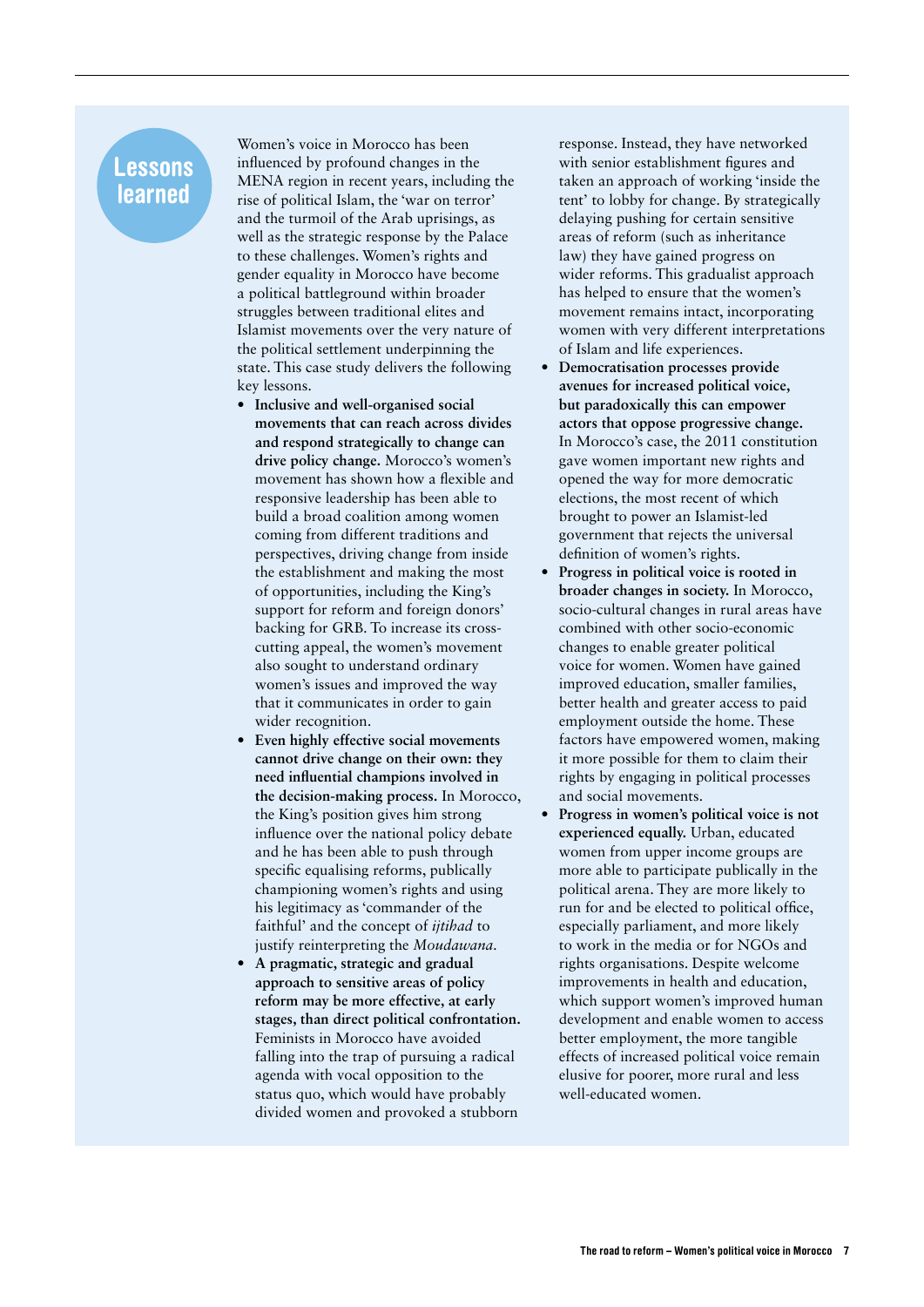# Lessons learned

Women's voice in Morocco has been influenced by profound changes in the MENA region in recent years, including the rise of political Islam, the 'war on terror' and the turmoil of the Arab uprisings, as well as the strategic response by the Palace to these challenges. Women's rights and gender equality in Morocco have become a political battleground within broader struggles between traditional elites and Islamist movements over the very nature of the political settlement underpinning the state. This case study delivers the following key lessons.

- **• Inclusive and well-organised social movements that can reach across divides and respond strategically to change can drive policy change.** Morocco's women's movement has shown how a flexible and responsive leadership has been able to build a broad coalition among women coming from different traditions and perspectives, driving change from inside the establishment and making the most of opportunities, including the King's support for reform and foreign donors' backing for GRB. To increase its crosscutting appeal, the women's movement also sought to understand ordinary women's issues and improved the way that it communicates in order to gain wider recognition.
- **• Even highly effective social movements cannot drive change on their own: they need influential champions involved in the decision-making process.** In Morocco, the King's position gives him strong influence over the national policy debate and he has been able to push through specific equalising reforms, publically championing women's rights and using his legitimacy as 'commander of the faithful' and the concept of *ijtihad* to justify reinterpreting the *Moudawana*.
- **• A pragmatic, strategic and gradual approach to sensitive areas of policy reform may be more effective, at early stages, than direct political confrontation.** Feminists in Morocco have avoided falling into the trap of pursuing a radical agenda with vocal opposition to the status quo, which would have probably divided women and provoked a stubborn

response. Instead, they have networked with senior establishment figures and taken an approach of working 'inside the tent' to lobby for change. By strategically delaying pushing for certain sensitive areas of reform (such as inheritance law) they have gained progress on wider reforms. This gradualist approach has helped to ensure that the women's movement remains intact, incorporating women with very different interpretations of Islam and life experiences.

- **Democratisation processes provide avenues for increased political voice, but paradoxically this can empower actors that oppose progressive change.** In Morocco's case, the 2011 constitution gave women important new rights and opened the way for more democratic elections, the most recent of which brought to power an Islamist-led government that rejects the universal definition of women's rights.
- **• Progress in political voice is rooted in broader changes in society.** In Morocco, socio-cultural changes in rural areas have combined with other socio-economic changes to enable greater political voice for women. Women have gained improved education, smaller families, better health and greater access to paid employment outside the home. These factors have empowered women, making it more possible for them to claim their rights by engaging in political processes and social movements.
- **• Progress in women's political voice is not experienced equally.** Urban, educated women from upper income groups are more able to participate publically in the political arena. They are more likely to run for and be elected to political office, especially parliament, and more likely to work in the media or for NGOs and rights organisations. Despite welcome improvements in health and education, which support women's improved human development and enable women to access better employment, the more tangible effects of increased political voice remain elusive for poorer, more rural and less well-educated women.